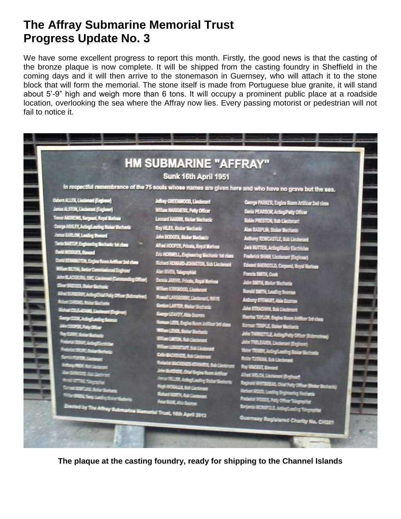## **The Affray Submarine Memorial Trust Progress Update No. 3**

We have some excellent progress to report this month. Firstly, the good news is that the casting of the bronze plaque is now complete. It will be shipped from the casting foundry in Sheffield in the coming days and it will then arrive to the stonemason in Guernsey, who will attach it to the stone block that will form the memorial. The stone itself is made from Portuguese blue granite, it will stand about 5'-9" high and weigh more than 6 tons. It will occupy a prominent public place at a roadside location, overlooking the sea where the Affray now lies. Every passing motorist or pedestrian will not fail to notice it.



**The plaque at the casting foundry, ready for shipping to the Channel Islands**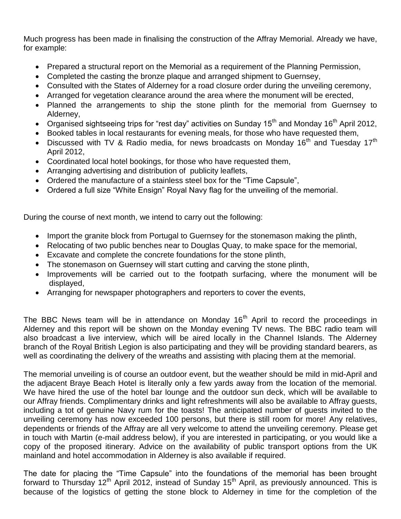Much progress has been made in finalising the construction of the Affray Memorial. Already we have, for example:

- Prepared a structural report on the Memorial as a requirement of the Planning Permission,
- Completed the casting the bronze plaque and arranged shipment to Guernsey,
- Consulted with the States of Alderney for a road closure order during the unveiling ceremony,
- Arranged for vegetation clearance around the area where the monument will be erected,
- Planned the arrangements to ship the stone plinth for the memorial from Guernsey to Alderney,
- Organised sightseeing trips for "rest day" activities on Sunday 15<sup>th</sup> and Monday 16<sup>th</sup> April 2012,
- Booked tables in local restaurants for evening meals, for those who have requested them,
- Discussed with TV & Radio media, for news broadcasts on Monday 16<sup>th</sup> and Tuesday 17<sup>th</sup> April 2012,
- Coordinated local hotel bookings, for those who have requested them,
- Arranging advertising and distribution of publicity leaflets,
- Ordered the manufacture of a stainless steel box for the "Time Capsule",
- Ordered a full size "White Ensign" Royal Navy flag for the unveiling of the memorial.

During the course of next month, we intend to carry out the following:

- Import the granite block from Portugal to Guernsey for the stonemason making the plinth,
- Relocating of two public benches near to Douglas Quay, to make space for the memorial,
- Excavate and complete the concrete foundations for the stone plinth,
- The stonemason on Guernsey will start cutting and carving the stone plinth,
- Improvements will be carried out to the footpath surfacing, where the monument will be displayed,
- Arranging for newspaper photographers and reporters to cover the events,

The BBC News team will be in attendance on Monday  $16<sup>th</sup>$  April to record the proceedings in Alderney and this report will be shown on the Monday evening TV news. The BBC radio team will also broadcast a live interview, which will be aired locally in the Channel Islands. The Alderney branch of the Royal British Legion is also participating and they will be providing standard bearers, as well as coordinating the delivery of the wreaths and assisting with placing them at the memorial.

The memorial unveiling is of course an outdoor event, but the weather should be mild in mid-April and the adjacent Braye Beach Hotel is literally only a few yards away from the location of the memorial. We have hired the use of the hotel bar lounge and the outdoor sun deck, which will be available to our Affray friends. Complimentary drinks and light refreshments will also be available to Affray guests, including a tot of genuine Navy rum for the toasts! The anticipated number of guests invited to the unveiling ceremony has now exceeded 100 persons, but there is still room for more! Any relatives, dependents or friends of the Affray are all very welcome to attend the unveiling ceremony. Please get in touch with Martin (e-mail address below), if you are interested in participating, or you would like a copy of the proposed itinerary. Advice on the availability of public transport options from the UK mainland and hotel accommodation in Alderney is also available if required.

The date for placing the "Time Capsule" into the foundations of the memorial has been brought forward to Thursday 12<sup>th</sup> April 2012, instead of Sunday 15<sup>th</sup> April, as previously announced. This is because of the logistics of getting the stone block to Alderney in time for the completion of the